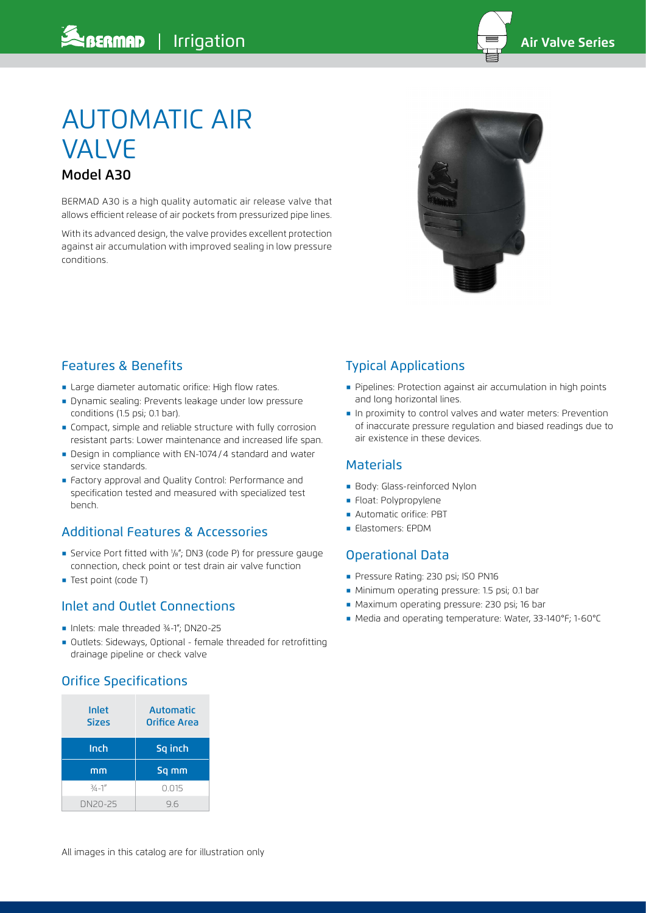

# AUTOMATIC AIR VALVE Model A30

BERMAD A30 is a high quality automatic air release valve that allows efficient release of air pockets from pressurized pipe lines.

With its advanced design, the valve provides excellent protection against air accumulation with improved sealing in low pressure conditions.



## Features & Benefits

- **E** Large diameter automatic orifice: High flow rates.
- **Dynamic sealing: Prevents leakage under low pressure** conditions (1.5 psi; 0.1 bar).
- **EX Compact, simple and reliable structure with fully corrosion** resistant parts: Lower maintenance and increased life span.
- ֺ Design in compliance with EN-1074/4 standard and water service standards.
- ֺ Factory approval and Quality Control: Performance and specification tested and measured with specialized test bench.

## Additional Features & Accessories

- ֺ Service Port fitted with 1 /8"; DN3 (code P) for pressure gauge connection, check point or test drain air valve function
- ֺ Test point (code T)

#### Inlet and Outlet Connections

- Inlets: male threaded ¾-1": DN20-25
- ֺ Outlets: Sideways, Optional female threaded for retrofitting drainage pipeline or check valve

## Orifice Specifications

| Inlet<br><b>Sizes</b> | <b>Automatic</b><br>Orifice Area |  |  |
|-----------------------|----------------------------------|--|--|
| Inch                  | Sq inch                          |  |  |
| mm                    | Sq mm                            |  |  |
| $3/4 - 1''$           | 0.015                            |  |  |
| DN20-25               | 96                               |  |  |

## Typical Applications

- ֺ Pipelines: Protection against air accumulation in high points and long horizontal lines.
- **In proximity to control valves and water meters: Prevention** of inaccurate pressure regulation and biased readings due to air existence in these devices.

#### Materials

- **Body: Glass-reinforced Nylon**
- ֺ Float: Polypropylene
- **Automatic orifice: PBT**
- Elastomers: EPDM

## Operational Data

- **Pressure Rating: 230 psi; ISO PN16**
- ֺ Minimum operating pressure: 1.5 psi; 0.1 bar
- ֺ Maximum operating pressure: 230 psi; 16 bar
- ֺ Media and operating temperature: Water, 33-140°F; 1-60°C